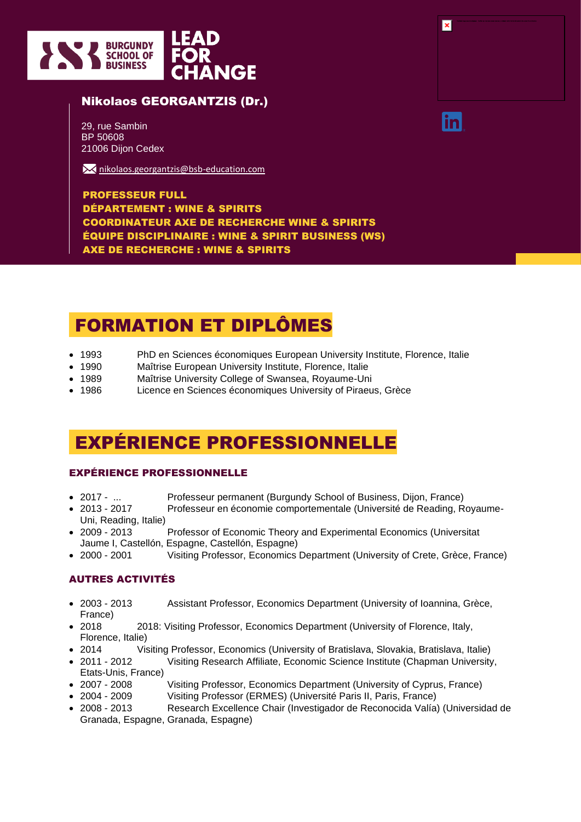

## Nikolaos GEORGANTZIS (Dr.)

29, rue Sambin BP 50608 21006 Dijon Cedex

**X** [nikolaos.georgantzis@bsb-education.com](mailto:nikolaos.georgantzis@bsb-education.com)

PROFESSEUR FULL DÉPARTEMENT : WINE & SPIRITS COORDINATEUR AXE DE RECHERCHE WINE & SPIRITS ÉQUIPE DISCIPLINAIRE : WINE & SPIRIT BUSINESS (WS) AXE DE RECHERCHE : WINE & SPIRITS

# FORMATION ET DIPLÔMES

- 1993 PhD en Sciences économiques European University Institute, Florence, Italie
- 1990 Maîtrise European University Institute, Florence, Italie
- 1989 Maîtrise University College of Swansea, Royaume-Uni
- 1986 Licence en Sciences économiques University of Piraeus, Grèce

## EXPÉRIENCE PROFESSIONNELLE

### EXPÉRIENCE PROFESSIONNELLE

- 2017 ... Professeur permanent (Burgundy School of Business, Dijon, France)
- 2013 2017 Professeur en économie comportementale (Université de Reading, Royaume-Uni, Reading, Italie)
- 2009 2013 Professor of Economic Theory and Experimental Economics (Universitat Jaume I, Castellón, Espagne, Castellón, Espagne)
- 2000 2001 Visiting Professor, Economics Department (University of Crete, Grèce, France)

## AUTRES ACTIVITÉS

- 2003 2013 Assistant Professor, Economics Department (University of Ioannina, Grèce, France)
- 2018 2018: Visiting Professor, Economics Department (University of Florence, Italy, Florence, Italie)
- 2014 Visiting Professor, Economics (University of Bratislava, Slovakia, Bratislava, Italie)
- 2011 2012 Visiting Research Affiliate, Economic Science Institute (Chapman University, Etats-Unis, France)
- 2007 2008 Visiting Professor, Economics Department (University of Cyprus, France)
- 2004 2009 Visiting Professor (ERMES) (Université Paris II, Paris, France)
- 2008 2013 Research Excellence Chair (Investigador de Reconocida Valía) (Universidad de Granada, Espagne, Granada, Espagne)

| × | ,我们也不会有一个人的事情。""我们的事情,我们也不会有一个人的事情。""我们的事情,我们的事情,我们的事情,我们的事情,我们的事情,我们的事情,我们的事情,我<br>第一百一十一章 我们的事情,我们的事情,我们的事情,我们的事情,我们的事情,我们的事情,我们的事情,我们的事情,我们的事情,我们的事情,我们的事情,我们的事情,<br>interferences and the first production from the result of production the first first to the constitution of the anti- |  |
|---|-----------------------------------------------------------------------------------------------------------------------------------------------------------------------------------------------------------------------------------------------------------------------------------------------|--|
|   |                                                                                                                                                                                                                                                                                               |  |
|   |                                                                                                                                                                                                                                                                                               |  |
|   |                                                                                                                                                                                                                                                                                               |  |

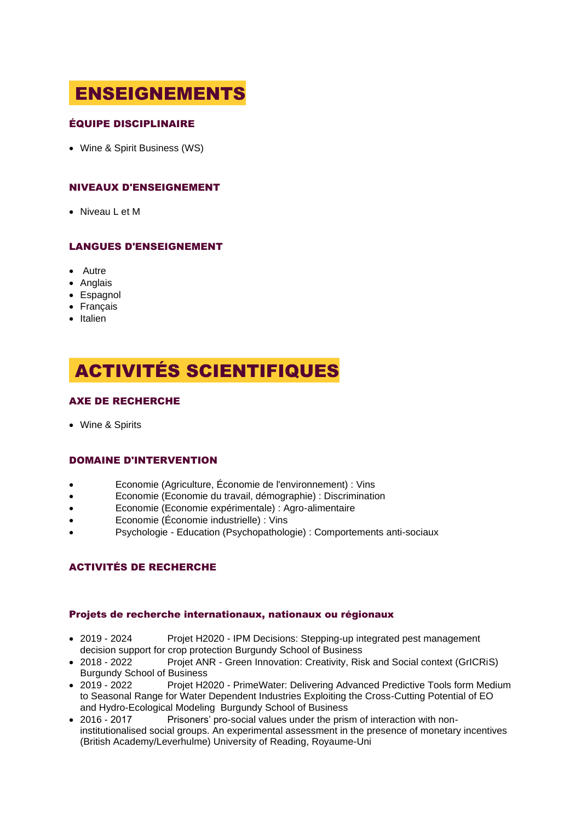# ENSEIGNEMENTS

## ÉQUIPE DISCIPLINAIRE

• Wine & Spirit Business (WS)

## NIVEAUX D'ENSEIGNEMENT

• Niveau L et M

## LANGUES D'ENSEIGNEMENT

- Autre
- Anglais
- Espagnol
- Français
- Italien

# ACTIVITÉS SCIENTIFIQUES

## AXE DE RECHERCHE

• Wine & Spirits

### DOMAINE D'INTERVENTION

- Economie (Agriculture, Économie de l'environnement) : Vins
- Economie (Economie du travail, démographie) : Discrimination
- Economie (Economie expérimentale) : Agro-alimentaire
- Economie (Économie industrielle) : Vins
- Psychologie Education (Psychopathologie) : Comportements anti-sociaux

### ACTIVITÉS DE RECHERCHE

#### Projets de recherche internationaux, nationaux ou régionaux

- 2019 2024 Projet H2020 IPM Decisions: Stepping-up integrated pest management decision support for crop protection Burgundy School of Business
- 2018 2022 Projet ANR Green Innovation: Creativity, Risk and Social context (GrICRiS) Burgundy School of Business
- 2019 2022 Projet H2020 PrimeWater: Delivering Advanced Predictive Tools form Medium to Seasonal Range for Water Dependent Industries Exploiting the Cross-Cutting Potential of EO and Hydro-Ecological Modeling Burgundy School of Business
- 2016 2017 Prisoners' pro-social values under the prism of interaction with noninstitutionalised social groups. An experimental assessment in the presence of monetary incentives (British Academy/Leverhulme) University of Reading, Royaume-Uni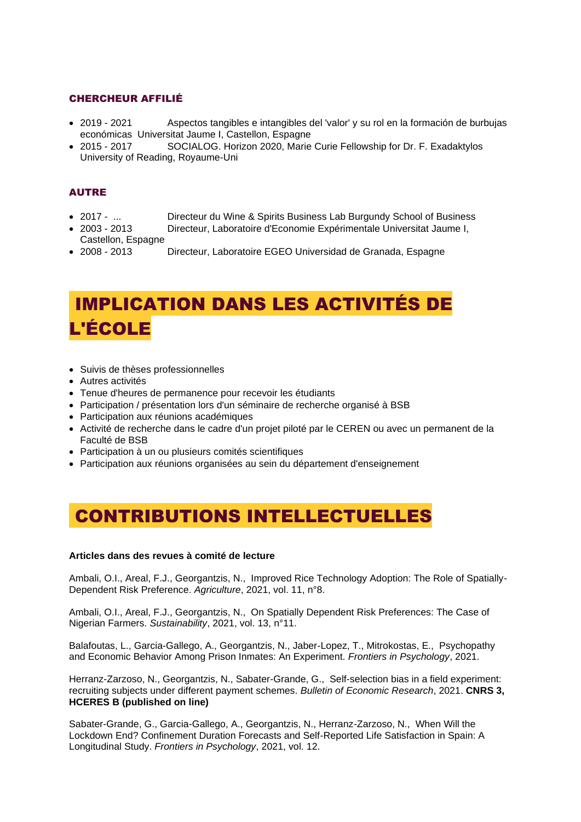## CHERCHEUR AFFILIÉ

- 2019 2021 Aspectos tangibles e intangibles del 'valor' y su rol en la formación de burbujas económicas Universitat Jaume I, Castellon, Espagne
- 2015 2017 SOCIALOG. Horizon 2020, Marie Curie Fellowship for Dr. F. Exadaktylos University of Reading, Royaume-Uni

## AUTRE

- 2017 ... Directeur du Wine & Spirits Business Lab Burgundy School of Business
- 2003 2013 Directeur, Laboratoire d'Economie Expérimentale Universitat Jaume I, Castellon, Espagne
- 2008 2013 Directeur, Laboratoire EGEO Universidad de Granada, Espagne

# IMPLICATION DANS LES ACTIVITÉS DE L'ÉCOLE

- Suivis de thèses professionnelles
- Autres activités
- Tenue d'heures de permanence pour recevoir les étudiants
- Participation / présentation lors d'un séminaire de recherche organisé à BSB
- Participation aux réunions académiques
- Activité de recherche dans le cadre d'un projet piloté par le CEREN ou avec un permanent de la Faculté de BSB
- Participation à un ou plusieurs comités scientifiques
- Participation aux réunions organisées au sein du département d'enseignement

## CONTRIBUTIONS INTELLECTUELLES

#### **Articles dans des revues à comité de lecture**

Ambali, O.I., Areal, F.J., Georgantzis, N., Improved Rice Technology Adoption: The Role of Spatially-Dependent Risk Preference. *Agriculture*, 2021, vol. 11, n°8.

Ambali, O.I., Areal, F.J., Georgantzis, N., On Spatially Dependent Risk Preferences: The Case of Nigerian Farmers. *Sustainability*, 2021, vol. 13, n°11.

Balafoutas, L., Garcia-Gallego, A., Georgantzis, N., Jaber-Lopez, T., Mitrokostas, E., Psychopathy and Economic Behavior Among Prison Inmates: An Experiment. *Frontiers in Psychology*, 2021.

Herranz-Zarzoso, N., Georgantzis, N., Sabater-Grande, G., Self-selection bias in a field experiment: recruiting subjects under different payment schemes. *Bulletin of Economic Research*, 2021. **CNRS 3, HCERES B (published on line)**

Sabater-Grande, G., Garcia-Gallego, A., Georgantzis, N., Herranz-Zarzoso, N., When Will the Lockdown End? Confinement Duration Forecasts and Self-Reported Life Satisfaction in Spain: A Longitudinal Study. *Frontiers in Psychology*, 2021, vol. 12.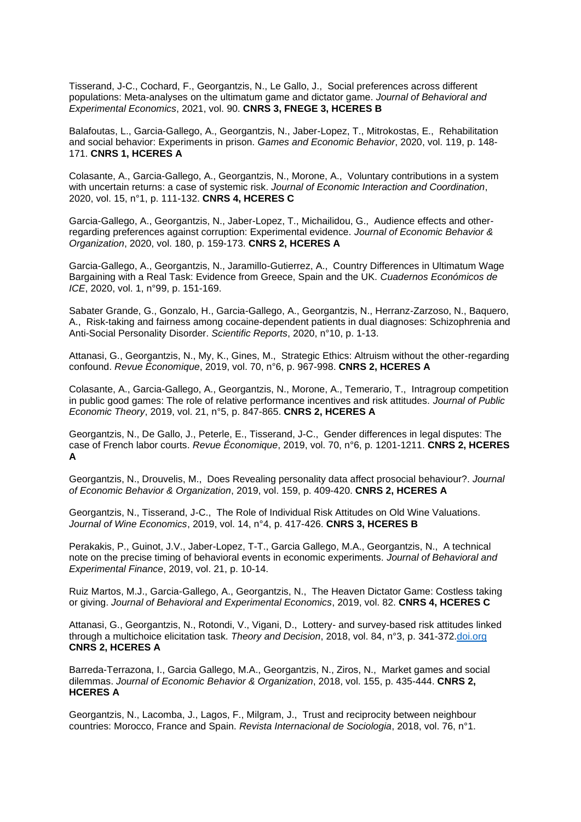Tisserand, J-C., Cochard, F., Georgantzis, N., Le Gallo, J., Social preferences across different populations: Meta-analyses on the ultimatum game and dictator game. *Journal of Behavioral and Experimental Economics*, 2021, vol. 90. **CNRS 3, FNEGE 3, HCERES B** 

Balafoutas, L., Garcia-Gallego, A., Georgantzis, N., Jaber-Lopez, T., Mitrokostas, E., Rehabilitation and social behavior: Experiments in prison. *Games and Economic Behavior*, 2020, vol. 119, p. 148- 171. **CNRS 1, HCERES A**

Colasante, A., Garcia-Gallego, A., Georgantzis, N., Morone, A., Voluntary contributions in a system with uncertain returns: a case of systemic risk. *Journal of Economic Interaction and Coordination*, 2020, vol. 15, n°1, p. 111-132. **CNRS 4, HCERES C**

Garcia-Gallego, A., Georgantzis, N., Jaber-Lopez, T., Michailidou, G., Audience effects and otherregarding preferences against corruption: Experimental evidence. *Journal of Economic Behavior & Organization*, 2020, vol. 180, p. 159-173. **CNRS 2, HCERES A**

Garcia-Gallego, A., Georgantzis, N., Jaramillo-Gutierrez, A., Country Differences in Ultimatum Wage Bargaining with a Real Task: Evidence from Greece, Spain and the UK. *Cuadernos Económicos de ICE*, 2020, vol. 1, n°99, p. 151-169.

Sabater Grande, G., Gonzalo, H., Garcia-Gallego, A., Georgantzis, N., Herranz-Zarzoso, N., Baquero, A., Risk-taking and fairness among cocaine-dependent patients in dual diagnoses: Schizophrenia and Anti-Social Personality Disorder. *Scientific Reports*, 2020, n°10, p. 1-13.

Attanasi, G., Georgantzis, N., My, K., Gines, M., Strategic Ethics: Altruism without the other-regarding confound. *Revue Économique*, 2019, vol. 70, n°6, p. 967-998. **CNRS 2, HCERES A**

Colasante, A., Garcia-Gallego, A., Georgantzis, N., Morone, A., Temerario, T., Intragroup competition in public good games: The role of relative performance incentives and risk attitudes. *Journal of Public Economic Theory*, 2019, vol. 21, n°5, p. 847-865. **CNRS 2, HCERES A**

Georgantzis, N., De Gallo, J., Peterle, E., Tisserand, J-C., Gender differences in legal disputes: The case of French labor courts. *Revue Économique*, 2019, vol. 70, n°6, p. 1201-1211. **CNRS 2, HCERES A**

Georgantzis, N., Drouvelis, M., Does Revealing personality data affect prosocial behaviour?. *Journal of Economic Behavior & Organization*, 2019, vol. 159, p. 409-420. **CNRS 2, HCERES A**

Georgantzis, N., Tisserand, J-C., The Role of Individual Risk Attitudes on Old Wine Valuations. *Journal of Wine Economics*, 2019, vol. 14, n°4, p. 417-426. **CNRS 3, HCERES B**

Perakakis, P., Guinot, J.V., Jaber-Lopez, T-T., Garcia Gallego, M.A., Georgantzis, N., A technical note on the precise timing of behavioral events in economic experiments. *Journal of Behavioral and Experimental Finance*, 2019, vol. 21, p. 10-14.

Ruiz Martos, M.J., Garcia-Gallego, A., Georgantzis, N., The Heaven Dictator Game: Costless taking or giving. *Journal of Behavioral and Experimental Economics*, 2019, vol. 82. **CNRS 4, HCERES C**

Attanasi, G., Georgantzis, N., Rotondi, V., Vigani, D., Lottery- and survey-based risk attitudes linked through a multichoice elicitation task. *Theory and Decision*, 2018, vol. 84, n°3, p. 341-372[.doi.org](https://doi.org/10.1007/s11238-017-9613-0) **CNRS 2, HCERES A**

Barreda-Terrazona, I., Garcia Gallego, M.A., Georgantzis, N., Ziros, N., Market games and social dilemmas. *Journal of Economic Behavior & Organization*, 2018, vol. 155, p. 435-444. **CNRS 2, HCERES A**

Georgantzis, N., Lacomba, J., Lagos, F., Milgram, J., Trust and reciprocity between neighbour countries: Morocco, France and Spain. *Revista Internacional de Sociologia*, 2018, vol. 76, n°1.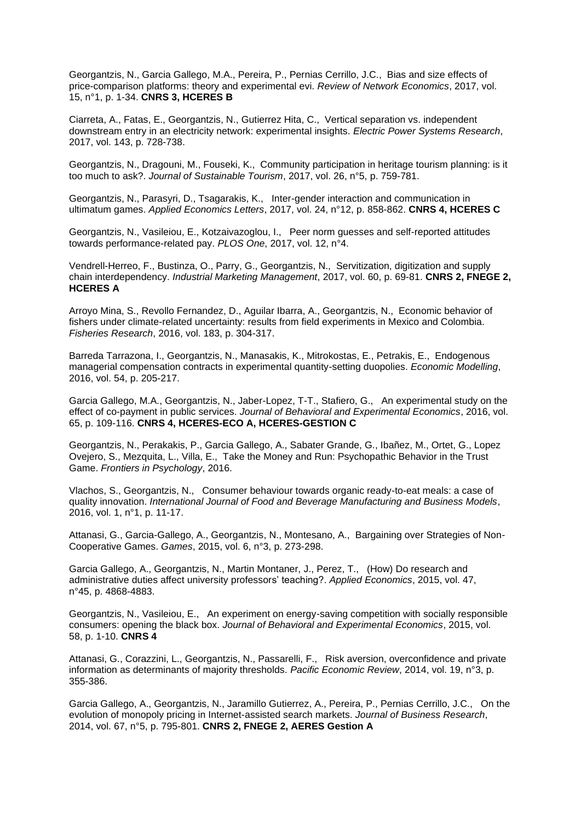Georgantzis, N., Garcia Gallego, M.A., Pereira, P., Pernias Cerrillo, J.C., Bias and size effects of price-comparison platforms: theory and experimental evi. *Review of Network Economics*, 2017, vol. 15, n°1, p. 1-34. **CNRS 3, HCERES B**

Ciarreta, A., Fatas, E., Georgantzis, N., Gutierrez Hita, C., Vertical separation vs. independent downstream entry in an electricity network: experimental insights. *Electric Power Systems Research*, 2017, vol. 143, p. 728-738.

Georgantzis, N., Dragouni, M., Fouseki, K., Community participation in heritage tourism planning: is it too much to ask?. *Journal of Sustainable Tourism*, 2017, vol. 26, n°5, p. 759-781.

Georgantzis, N., Parasyri, D., Tsagarakis, K., Inter-gender interaction and communication in ultimatum games. *Applied Economics Letters*, 2017, vol. 24, n°12, p. 858-862. **CNRS 4, HCERES C**

Georgantzis, N., Vasileiou, E., Kotzaivazoglou, I., Peer norm guesses and self-reported attitudes towards performance-related pay. *PLOS One*, 2017, vol. 12, n°4.

Vendrell-Herreo, F., Bustinza, O., Parry, G., Georgantzis, N., Servitization, digitization and supply chain interdependency. *Industrial Marketing Management*, 2017, vol. 60, p. 69-81. **CNRS 2, FNEGE 2, HCERES A**

Arroyo Mina, S., Revollo Fernandez, D., Aguilar Ibarra, A., Georgantzis, N., Economic behavior of fishers under climate-related uncertainty: results from field experiments in Mexico and Colombia. *Fisheries Research*, 2016, vol. 183, p. 304-317.

Barreda Tarrazona, I., Georgantzis, N., Manasakis, K., Mitrokostas, E., Petrakis, E., Endogenous managerial compensation contracts in experimental quantity-setting duopolies. *Economic Modelling*, 2016, vol. 54, p. 205-217.

Garcia Gallego, M.A., Georgantzis, N., Jaber-Lopez, T-T., Stafiero, G., An experimental study on the effect of co-payment in public services. *Journal of Behavioral and Experimental Economics*, 2016, vol. 65, p. 109-116. **CNRS 4, HCERES-ECO A, HCERES-GESTION C**

Georgantzis, N., Perakakis, P., Garcia Gallego, A., Sabater Grande, G., Ibañez, M., Ortet, G., Lopez Ovejero, S., Mezquita, L., Villa, E., Take the Money and Run: Psychopathic Behavior in the Trust Game. *Frontiers in Psychology*, 2016.

Vlachos, S., Georgantzis, N., Consumer behaviour towards organic ready-to-eat meals: a case of quality innovation. *International Journal of Food and Beverage Manufacturing and Business Models*, 2016, vol. 1, n°1, p. 11-17.

Attanasi, G., Garcia-Gallego, A., Georgantzis, N., Montesano, A., Bargaining over Strategies of Non-Cooperative Games. *Games*, 2015, vol. 6, n°3, p. 273-298.

Garcia Gallego, A., Georgantzis, N., Martin Montaner, J., Perez, T., (How) Do research and administrative duties affect university professors' teaching?. *Applied Economics*, 2015, vol. 47, n°45, p. 4868-4883.

Georgantzis, N., Vasileiou, E., An experiment on energy-saving competition with socially responsible consumers: opening the black box. *Journal of Behavioral and Experimental Economics*, 2015, vol. 58, p. 1-10. **CNRS 4**

Attanasi, G., Corazzini, L., Georgantzis, N., Passarelli, F., Risk aversion, overconfidence and private information as determinants of majority thresholds. *Pacific Economic Review*, 2014, vol. 19, n°3, p. 355-386.

Garcia Gallego, A., Georgantzis, N., Jaramillo Gutierrez, A., Pereira, P., Pernias Cerrillo, J.C., On the evolution of monopoly pricing in Internet-assisted search markets. *Journal of Business Research*, 2014, vol. 67, n°5, p. 795-801. **CNRS 2, FNEGE 2, AERES Gestion A**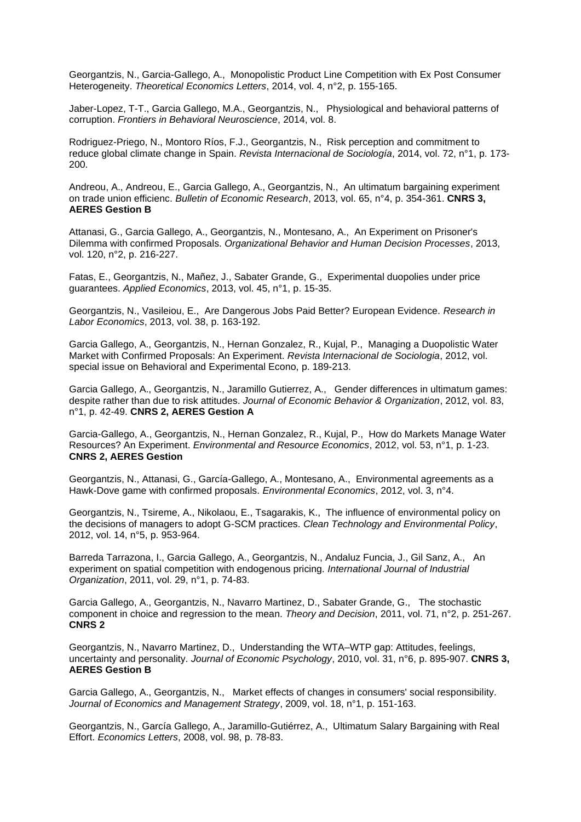Georgantzis, N., Garcia-Gallego, A., Monopolistic Product Line Competition with Ex Post Consumer Heterogeneity. *Theoretical Economics Letters*, 2014, vol. 4, n°2, p. 155-165.

Jaber-Lopez, T-T., Garcia Gallego, M.A., Georgantzis, N., Physiological and behavioral patterns of corruption. *Frontiers in Behavioral Neuroscience*, 2014, vol. 8.

Rodriguez-Priego, N., Montoro Ríos, F.J., Georgantzis, N., Risk perception and commitment to reduce global climate change in Spain. *Revista Internacional de Sociología*, 2014, vol. 72, n°1, p. 173- 200.

Andreou, A., Andreou, E., Garcia Gallego, A., Georgantzis, N., An ultimatum bargaining experiment on trade union efficienc. *Bulletin of Economic Research*, 2013, vol. 65, n°4, p. 354-361. **CNRS 3, AERES Gestion B**

Attanasi, G., Garcia Gallego, A., Georgantzis, N., Montesano, A., An Experiment on Prisoner's Dilemma with confirmed Proposals. *Organizational Behavior and Human Decision Processes*, 2013, vol. 120, n°2, p. 216-227.

Fatas, E., Georgantzis, N., Mañez, J., Sabater Grande, G., Experimental duopolies under price guarantees. *Applied Economics*, 2013, vol. 45, n°1, p. 15-35.

Georgantzis, N., Vasileiou, E., Are Dangerous Jobs Paid Better? European Evidence. *Research in Labor Economics*, 2013, vol. 38, p. 163-192.

Garcia Gallego, A., Georgantzis, N., Hernan Gonzalez, R., Kujal, P., Managing a Duopolistic Water Market with Confirmed Proposals: An Experiment. *Revista Internacional de Sociologia*, 2012, vol. special issue on Behavioral and Experimental Econo, p. 189-213.

Garcia Gallego, A., Georgantzis, N., Jaramillo Gutierrez, A., Gender differences in ultimatum games: despite rather than due to risk attitudes. *Journal of Economic Behavior & Organization*, 2012, vol. 83, n°1, p. 42-49. **CNRS 2, AERES Gestion A**

Garcia-Gallego, A., Georgantzis, N., Hernan Gonzalez, R., Kujal, P., How do Markets Manage Water Resources? An Experiment. *Environmental and Resource Economics*, 2012, vol. 53, n°1, p. 1-23. **CNRS 2, AERES Gestion**

Georgantzis, N., Attanasi, G., García-Gallego, A., Montesano, A., Environmental agreements as a Hawk-Dove game with confirmed proposals. *Environmental Economics*, 2012, vol. 3, n°4.

Georgantzis, N., Tsireme, A., Nikolaou, E., Tsagarakis, K., The influence of environmental policy on the decisions of managers to adopt G-SCM practices. *Clean Technology and Environmental Policy*, 2012, vol. 14, n°5, p. 953-964.

Barreda Tarrazona, I., Garcia Gallego, A., Georgantzis, N., Andaluz Funcia, J., Gil Sanz, A., An experiment on spatial competition with endogenous pricing. *International Journal of Industrial Organization*, 2011, vol. 29, n°1, p. 74-83.

Garcia Gallego, A., Georgantzis, N., Navarro Martinez, D., Sabater Grande, G., The stochastic component in choice and regression to the mean. *Theory and Decision*, 2011, vol. 71, n°2, p. 251-267. **CNRS 2**

Georgantzis, N., Navarro Martinez, D., Understanding the WTA–WTP gap: Attitudes, feelings, uncertainty and personality. *Journal of Economic Psychology*, 2010, vol. 31, n°6, p. 895-907. **CNRS 3, AERES Gestion B**

Garcia Gallego, A., Georgantzis, N., Market effects of changes in consumers' social responsibility. *Journal of Economics and Management Strategy*, 2009, vol. 18, n°1, p. 151-163.

Georgantzis, N., García Gallego, A., Jaramillo-Gutiérrez, A., Ultimatum Salary Bargaining with Real Effort. *Economics Letters*, 2008, vol. 98, p. 78-83.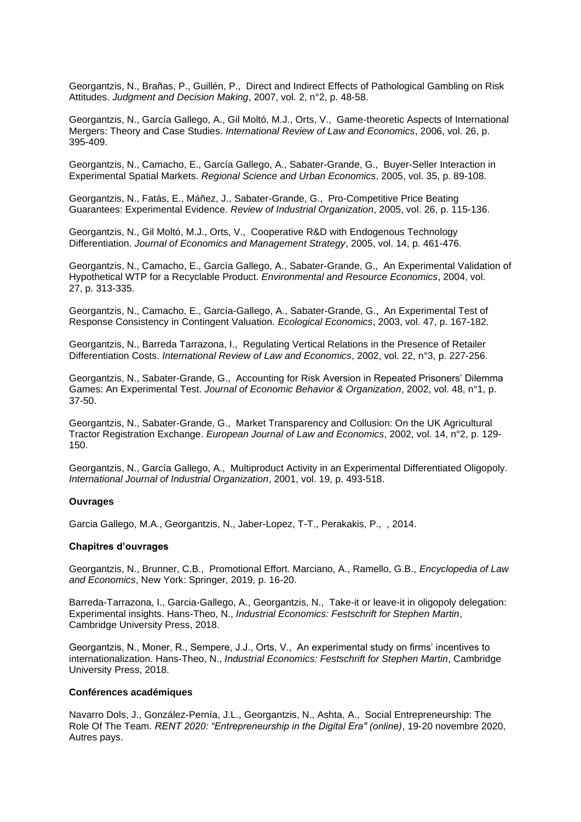Georgantzis, N., Brañas, P., Guillén, P., Direct and Indirect Effects of Pathological Gambling on Risk Attitudes. *Judgment and Decision Making*, 2007, vol. 2, n°2, p. 48-58.

Georgantzis, N., García Gallego, A., Gil Moltó, M.J., Orts, V., Game-theoretic Aspects of International Mergers: Theory and Case Studies. *International Review of Law and Economics*, 2006, vol. 26, p. 395-409.

Georgantzis, N., Camacho, E., García Gallego, A., Sabater-Grande, G., Buyer-Seller Interaction in Experimental Spatial Markets. *Regional Science and Urban Economics*, 2005, vol. 35, p. 89-108.

Georgantzis, N., Fatás, E., Máñez, J., Sabater-Grande, G., Pro-Competitive Price Beating Guarantees: Experimental Evidence. *Review of Industrial Organization*, 2005, vol. 26, p. 115-136.

Georgantzis, N., Gil Moltó, M.J., Orts, V., Cooperative R&D with Endogenous Technology Differentiation. *Journal of Economics and Management Strategy*, 2005, vol. 14, p. 461-476.

Georgantzis, N., Camacho, E., García Gallego, A., Sabater-Grande, G., An Experimental Validation of Hypothetical WTP for a Recyclable Product. *Environmental and Resource Economics*, 2004, vol. 27, p. 313-335.

Georgantzis, N., Camacho, E., García-Gallego, A., Sabater-Grande, G., An Experimental Test of Response Consistency in Contingent Valuation. *Ecological Economics*, 2003, vol. 47, p. 167-182.

Georgantzis, N., Barreda Tarrazona, I., Regulating Vertical Relations in the Presence of Retailer Differentiation Costs. *International Review of Law and Economics*, 2002, vol. 22, n°3, p. 227-256.

Georgantzis, N., Sabater-Grande, G., Accounting for Risk Aversion in Repeated Prisoners' Dilemma Games: An Experimental Test. *Journal of Economic Behavior & Organization*, 2002, vol. 48, n°1, p. 37-50.

Georgantzis, N., Sabater-Grande, G., Market Transparency and Collusion: On the UK Agricultural Tractor Registration Exchange. *European Journal of Law and Economics*, 2002, vol. 14, n°2, p. 129- 150.

Georgantzis, N., García Gallego, A., Multiproduct Activity in an Experimental Differentiated Oligopoly. *International Journal of Industrial Organization*, 2001, vol. 19, p. 493-518.

#### **Ouvrages**

Garcia Gallego, M.A., Georgantzis, N., Jaber-Lopez, T-T., Perakakis, P., , 2014.

#### **Chapitres d'ouvrages**

Georgantzis, N., Brunner, C.B., Promotional Effort. Marciano, A., Ramello, G.B., *Encyclopedia of Law and Economics*, New York: Springer, 2019, p. 16-20.

Barreda-Tarrazona, I., Garcia-Gallego, A., Georgantzis, N., Take-it or leave-it in oligopoly delegation: Experimental insights. Hans-Theo, N., *Industrial Economics: Festschrift for Stephen Martin*, Cambridge University Press, 2018.

Georgantzis, N., Moner, R., Sempere, J.J., Orts, V., An experimental study on firms' incentives to internationalization. Hans-Theo, N., *Industrial Economics: Festschrift for Stephen Martin*, Cambridge University Press, 2018.

#### **Conférences académiques**

Navarro Dols, J., González-Pernía, J.L., Georgantzis, N., Ashta, A., Social Entrepreneurship: The Role Of The Team. *RENT 2020: "Entrepreneurship in the Digital Era" (online)*, 19-20 novembre 2020, Autres pays.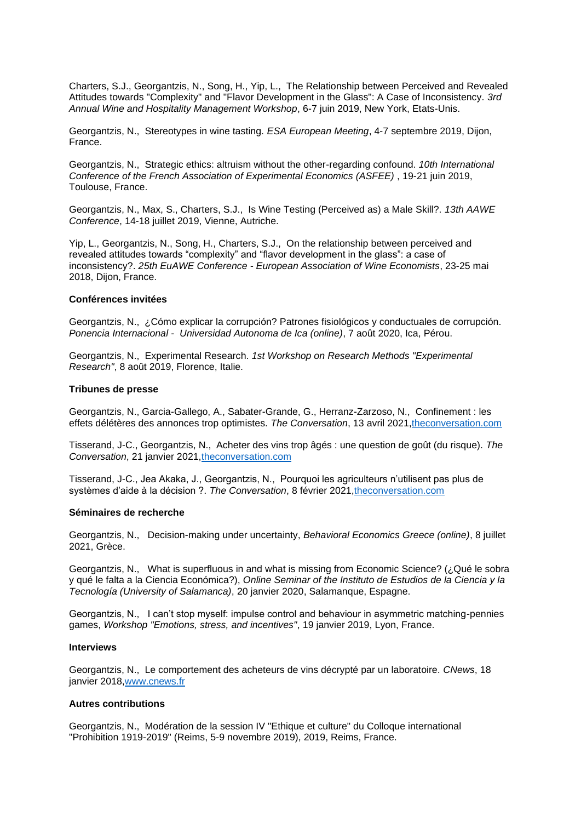Charters, S.J., Georgantzis, N., Song, H., Yip, L., The Relationship between Perceived and Revealed Attitudes towards "Complexity" and "Flavor Development in the Glass": A Case of Inconsistency. *3rd Annual Wine and Hospitality Management Workshop*, 6-7 juin 2019, New York, Etats-Unis.

Georgantzis, N., Stereotypes in wine tasting. *ESA European Meeting*, 4-7 septembre 2019, Dijon, France.

Georgantzis, N., Strategic ethics: altruism without the other-regarding confound. *10th International Conference of the French Association of Experimental Economics (ASFEE)* , 19-21 juin 2019, Toulouse, France.

Georgantzis, N., Max, S., Charters, S.J., Is Wine Testing (Perceived as) a Male Skill?. *13th AAWE Conference*, 14-18 juillet 2019, Vienne, Autriche.

Yip, L., Georgantzis, N., Song, H., Charters, S.J., On the relationship between perceived and revealed attitudes towards "complexity" and "flavor development in the glass": a case of inconsistency?. *25th EuAWE Conference - European Association of Wine Economists*, 23-25 mai 2018, Dijon, France.

#### **Conférences invitées**

Georgantzis, N., ¿Cómo explicar la corrupción? Patrones fisiológicos y conductuales de corrupción. *Ponencia Internacional - Universidad Autonoma de Ica (online)*, 7 août 2020, Ica, Pérou.

Georgantzis, N., Experimental Research. *1st Workshop on Research Methods "Experimental Research"*, 8 août 2019, Florence, Italie.

#### **Tribunes de presse**

Georgantzis, N., Garcia-Gallego, A., Sabater-Grande, G., Herranz-Zarzoso, N., Confinement : les effets délétères des annonces trop optimistes. *The Conversation*, 13 avril 2021[,theconversation.com](https://theconversation.com/confinement-les-effets-deleteres-des-annonces-trop-optimistes-158830)

Tisserand, J-C., Georgantzis, N., Acheter des vins trop âgés : une question de goût (du risque). *The Conversation*, 21 janvier 2021[,theconversation.com](https://theconversation.com/acheter-des-vins-trop-ages-une-question-de-gout-du-risque-153005)

Tisserand, J-C., Jea Akaka, J., Georgantzis, N., Pourquoi les agriculteurs n'utilisent pas plus de systèmes d'aide à la décision ?. *The Conversation*, 8 février 2021[,theconversation.com](https://theconversation.com/pourquoi-les-agriculteurs-nutilisent-pas-plus-de-systemes-daide-a-la-decision-154237)

#### **Séminaires de recherche**

Georgantzis, N., Decision-making under uncertainty, *Behavioral Economics Greece (online)*, 8 juillet 2021, Grèce.

Georgantzis, N., What is superfluous in and what is missing from Economic Science? ( $\zeta$ Qué le sobra y qué le falta a la Ciencia Económica?), *Online Seminar of the Instituto de Estudios de la Ciencia y la Tecnología (University of Salamanca)*, 20 janvier 2020, Salamanque, Espagne.

Georgantzis, N., I can't stop myself: impulse control and behaviour in asymmetric matching-pennies games, *Workshop "Emotions, stress, and incentives"*, 19 janvier 2019, Lyon, France.

#### **Interviews**

Georgantzis, N., Le comportement des acheteurs de vins décrypté par un laboratoire. *CNews*, 18 janvier 2018[,www.cnews.fr](https://www.cnews.fr/videos/france/2018-11-17/le-comportement-des-acheteurs-de-vins-decrypte-par-un-laboratoire-800473?fbclid=IwAR2lmxGap91IU9SJHbi7I4RWf3ROqcuafc15bMq7aEGt_WgF5JJzx4N_zKs)

#### **Autres contributions**

Georgantzis, N., Modération de la session IV "Ethique et culture" du Colloque international "Prohibition 1919-2019" (Reims, 5-9 novembre 2019), 2019, Reims, France.